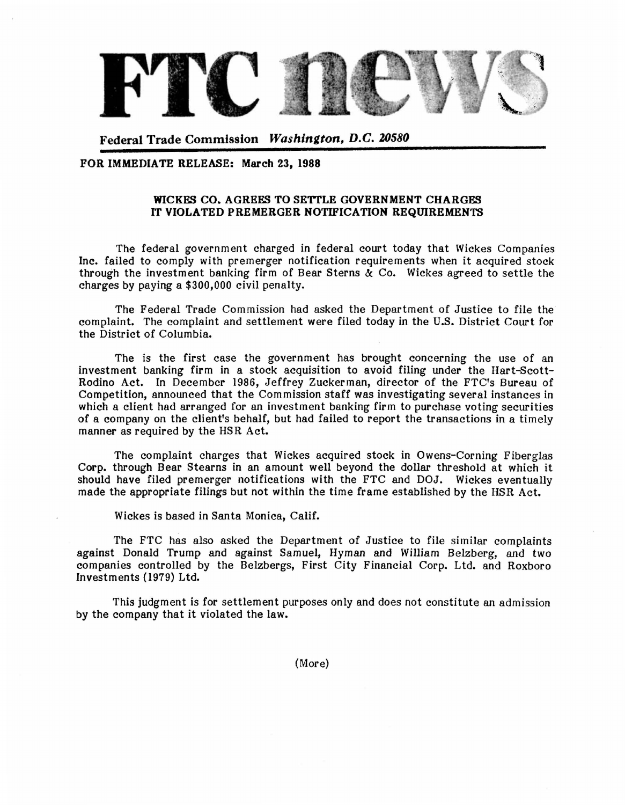

Federal Trade Commission Washington, D.C. 20580

## FOR IMMEDIATE RELEASE: March 23, 1988

## WICKES CO. AGREES TO SETTLE GOVERNMENT CHARGES IT VIOLATED PREMERGER NOTIFICATION REQUIREMENTS

The federal government charged in federal court today that Wickes Companies Inc. failed to comply with premerger notification requirements when it acquired stock through the investment banking firm of Bear Sterns  $\alpha$  Co. Wickes agreed to settle the charges by paying a \$300,000 civil penalty.

The Federal Trade Commission had asked the Department of Justice to file the complaint. The complaint and settlement were filed today in the U.S. District Court for the District of Columbia.

The is the first case the government has brought concerning the use of an investment banking firm in a stock acquisition to avoid filing under the Hart-Scott-Rodino Act. In December 1986, Jeffrey Zuckerman, director of the FTC's Bureau of Competition, announced that the Com mission staff was investigating several instances in which a client had arranged for an investment banking firm to purchase voting securities of a company on the client's behalf, but had failed to report the transactions in a timely manner as required by the HSR Act.

The complaint charges that Wickes acquired stock in Owens-Corning Fiberglas Corp. through Bear Stearns in an amount well beyond the dollar threshold at which it should have filed premerger notifications with the FTC and DOJ. Wickes eventually made the appropriate filings but not within the time frame established by the HSR Act.

Wickes is based in Santa Monica, Calif.

The FTC has also asked the Department of Justice to file similar complaints against Donald Trump and against Samuel, Hyman and William Belzberg, and two companies controlled by the Belzbergs, First City Financial Corp. Ltd. and Roxboro Investments (1979) Ltd.

This judgment is for settlement purposes only and does not constitute an admission by the company that it violated the law.

(More)